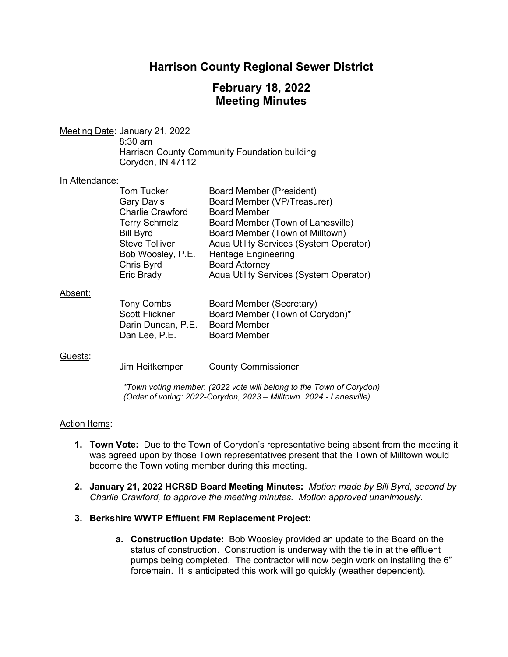## **Harrison County Regional Sewer District**

# **February 18, 2022 Meeting Minutes**

Meeting Date: January 21, 2022 8:30 am Harrison County Community Foundation building Corydon, IN 47112

#### In Attendance:

| <b>Tom Tucker</b>       | <b>Board Member (President)</b>         |
|-------------------------|-----------------------------------------|
| <b>Gary Davis</b>       | Board Member (VP/Treasurer)             |
| <b>Charlie Crawford</b> | <b>Board Member</b>                     |
| <b>Terry Schmelz</b>    | Board Member (Town of Lanesville)       |
| <b>Bill Byrd</b>        | Board Member (Town of Milltown)         |
| <b>Steve Tolliver</b>   | Aqua Utility Services (System Operator) |
| Bob Woosley, P.E.       | <b>Heritage Engineering</b>             |
| Chris Byrd              | <b>Board Attorney</b>                   |
| Eric Brady              | Aqua Utility Services (System Operator) |
|                         |                                         |

#### Absent:

| Tony Combs            | Board Member (Secretary)        |
|-----------------------|---------------------------------|
| <b>Scott Flickner</b> | Board Member (Town of Corydon)* |
| Darin Duncan, P.E.    | <b>Board Member</b>             |
| Dan Lee, P.E.         | <b>Board Member</b>             |

#### Guests:

Jim Heitkemper County Commissioner

*\*Town voting member. (2022 vote will belong to the Town of Corydon) (Order of voting: 2022-Corydon, 2023 – Milltown. 2024 - Lanesville)*

#### Action Items:

- **1. Town Vote:** Due to the Town of Corydon's representative being absent from the meeting it was agreed upon by those Town representatives present that the Town of Milltown would become the Town voting member during this meeting.
- **2. January 21, 2022 HCRSD Board Meeting Minutes:** *Motion made by Bill Byrd, second by Charlie Crawford, to approve the meeting minutes. Motion approved unanimously.*
- **3. Berkshire WWTP Effluent FM Replacement Project:** 
	- **a. Construction Update:** Bob Woosley provided an update to the Board on the status of construction. Construction is underway with the tie in at the effluent pumps being completed. The contractor will now begin work on installing the 6" forcemain. It is anticipated this work will go quickly (weather dependent).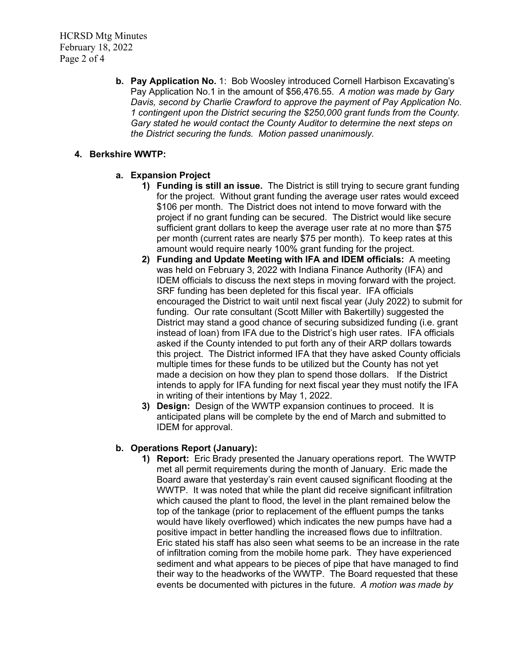**b. Pay Application No.** 1: Bob Woosley introduced Cornell Harbison Excavating's Pay Application No.1 in the amount of \$56,476.55. *A motion was made by Gary Davis, second by Charlie Crawford to approve the payment of Pay Application No. 1 contingent upon the District securing the \$250,000 grant funds from the County. Gary stated he would contact the County Auditor to determine the next steps on the District securing the funds. Motion passed unanimously.*

### **4. Berkshire WWTP:**

### **a. Expansion Project**

- **1) Funding is still an issue.** The District is still trying to secure grant funding for the project. Without grant funding the average user rates would exceed \$106 per month. The District does not intend to move forward with the project if no grant funding can be secured. The District would like secure sufficient grant dollars to keep the average user rate at no more than \$75 per month (current rates are nearly \$75 per month). To keep rates at this amount would require nearly 100% grant funding for the project.
- **2) Funding and Update Meeting with IFA and IDEM officials:** A meeting was held on February 3, 2022 with Indiana Finance Authority (IFA) and IDEM officials to discuss the next steps in moving forward with the project. SRF funding has been depleted for this fiscal year. IFA officials encouraged the District to wait until next fiscal year (July 2022) to submit for funding. Our rate consultant (Scott Miller with Bakertilly) suggested the District may stand a good chance of securing subsidized funding (i.e. grant instead of loan) from IFA due to the District's high user rates. IFA officials asked if the County intended to put forth any of their ARP dollars towards this project. The District informed IFA that they have asked County officials multiple times for these funds to be utilized but the County has not yet made a decision on how they plan to spend those dollars. If the District intends to apply for IFA funding for next fiscal year they must notify the IFA in writing of their intentions by May 1, 2022.
- **3) Design:** Design of the WWTP expansion continues to proceed. It is anticipated plans will be complete by the end of March and submitted to IDEM for approval.

### **b. Operations Report (January):**

**1) Report:** Eric Brady presented the January operations report. The WWTP met all permit requirements during the month of January. Eric made the Board aware that yesterday's rain event caused significant flooding at the WWTP. It was noted that while the plant did receive significant infiltration which caused the plant to flood, the level in the plant remained below the top of the tankage (prior to replacement of the effluent pumps the tanks would have likely overflowed) which indicates the new pumps have had a positive impact in better handling the increased flows due to infiltration. Eric stated his staff has also seen what seems to be an increase in the rate of infiltration coming from the mobile home park. They have experienced sediment and what appears to be pieces of pipe that have managed to find their way to the headworks of the WWTP. The Board requested that these events be documented with pictures in the future. *A motion was made by*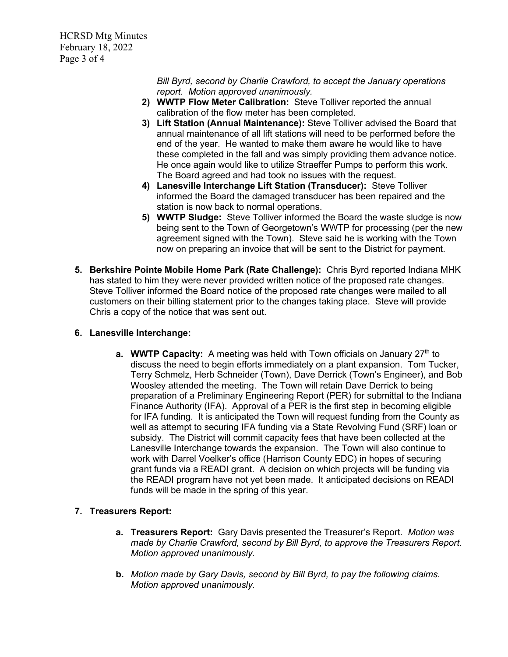HCRSD Mtg Minutes February 18, 2022 Page 3 of 4

> *Bill Byrd, second by Charlie Crawford, to accept the January operations report. Motion approved unanimously.*

- **2) WWTP Flow Meter Calibration:**Steve Tolliver reported the annual calibration of the flow meter has been completed.
- **3) Lift Station (Annual Maintenance):** Steve Tolliver advised the Board that annual maintenance of all lift stations will need to be performed before the end of the year. He wanted to make them aware he would like to have these completed in the fall and was simply providing them advance notice. He once again would like to utilize Straeffer Pumps to perform this work. The Board agreed and had took no issues with the request.
- **4) Lanesville Interchange Lift Station (Transducer):** Steve Tolliver informed the Board the damaged transducer has been repaired and the station is now back to normal operations.
- **5) WWTP Sludge:** Steve Tolliver informed the Board the waste sludge is now being sent to the Town of Georgetown's WWTP for processing (per the new agreement signed with the Town). Steve said he is working with the Town now on preparing an invoice that will be sent to the District for payment.
- **5. Berkshire Pointe Mobile Home Park (Rate Challenge):** Chris Byrd reported Indiana MHK has stated to him they were never provided written notice of the proposed rate changes. Steve Tolliver informed the Board notice of the proposed rate changes were mailed to all customers on their billing statement prior to the changes taking place. Steve will provide Chris a copy of the notice that was sent out.

### **6. Lanesville Interchange:**

**a. WWTP Capacity:** A meeting was held with Town officials on January 27<sup>th</sup> to discuss the need to begin efforts immediately on a plant expansion. Tom Tucker, Terry Schmelz, Herb Schneider (Town), Dave Derrick (Town's Engineer), and Bob Woosley attended the meeting. The Town will retain Dave Derrick to being preparation of a Preliminary Engineering Report (PER) for submittal to the Indiana Finance Authority (IFA). Approval of a PER is the first step in becoming eligible for IFA funding. It is anticipated the Town will request funding from the County as well as attempt to securing IFA funding via a State Revolving Fund (SRF) loan or subsidy. The District will commit capacity fees that have been collected at the Lanesville Interchange towards the expansion. The Town will also continue to work with Darrel Voelker's office (Harrison County EDC) in hopes of securing grant funds via a READI grant. A decision on which projects will be funding via the READI program have not yet been made. It anticipated decisions on READI funds will be made in the spring of this year.

## **7. Treasurers Report:**

- **a. Treasurers Report:** Gary Davis presented the Treasurer's Report. *Motion was made by Charlie Crawford, second by Bill Byrd, to approve the Treasurers Report. Motion approved unanimously.*
- **b.** *Motion made by Gary Davis, second by Bill Byrd, to pay the following claims. Motion approved unanimously.*